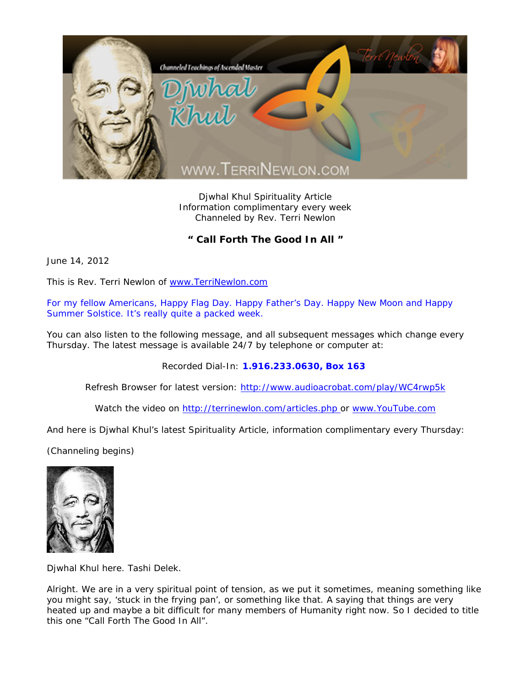

Djwhal Khul Spirituality Article Information complimentary every week Channeled by Rev. Terri Newlon

**" Call Forth The Good In All "** 

June 14, 2012

This is Rev. Terri Newlon of www.TerriNewlon.com

For my fellow Americans, Happy Flag Day. Happy Father's Day. Happy New Moon and Happy Summer Solstice. It's really quite a packed week.

You can also listen to the following message, and all subsequent messages which change every Thursday. The latest message is available 24/7 by telephone or computer at:

Recorded Dial-In: **1.916.233.0630, Box 163** 

Refresh Browser for latest version: http://www.audioacrobat.com/play/WC4rwp5k

Watch the video on http://terrinewlon.com/articles.php or www.YouTube.com

And here is Djwhal Khul's latest Spirituality Article, information complimentary every Thursday:

(Channeling begins)



Djwhal Khul here. Tashi Delek.

Alright. We are in a very spiritual point of tension, as we put it sometimes, meaning something like you might say, 'stuck in the frying pan', or something like that. A saying that things are very heated up and maybe a bit difficult for many members of Humanity right now. So I decided to title this one "Call Forth The Good In All".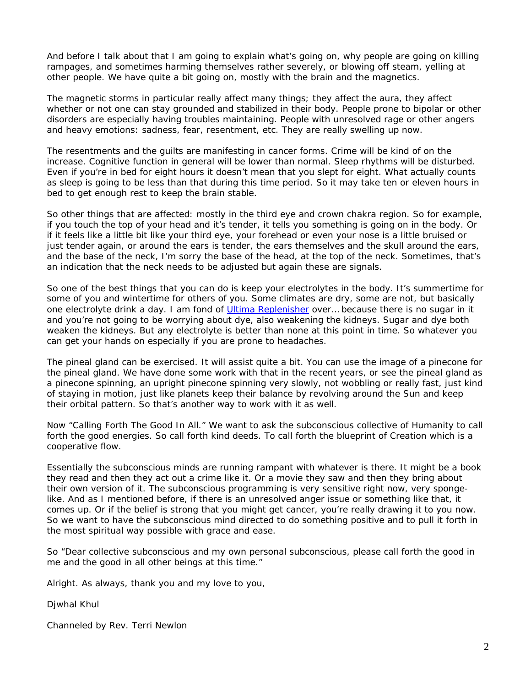And before I talk about that I am going to explain what's going on, why people are going on killing rampages, and sometimes harming themselves rather severely, or blowing off steam, yelling at other people. We have quite a bit going on, mostly with the brain and the magnetics.

The magnetic storms in particular really affect many things; they affect the aura, they affect whether or not one can stay grounded and stabilized in their body. People prone to bipolar or other disorders are especially having troubles maintaining. People with unresolved rage or other angers and heavy emotions: sadness, fear, resentment, etc. They are really swelling up now.

The resentments and the guilts are manifesting in cancer forms. Crime will be kind of on the increase. Cognitive function in general will be lower than normal. Sleep rhythms will be disturbed. Even if you're in bed for eight hours it doesn't mean that you slept for eight. What actually counts as sleep is going to be less than that during this time period. So it may take ten or eleven hours in bed to get enough rest to keep the brain stable.

So other things that are affected: mostly in the third eye and crown chakra region. So for example, if you touch the top of your head and it's tender, it tells you something is going on in the body. Or if it feels like a little bit like your third eye, your forehead or even your nose is a little bruised or just tender again, or around the ears is tender, the ears themselves and the skull around the ears, and the base of the neck, I'm sorry the base of the head, at the top of the neck. Sometimes, that's an indication that the neck needs to be adjusted but again these are signals.

So one of the best things that you can do is keep your electrolytes in the body. It's summertime for some of you and wintertime for others of you. Some climates are dry, some are not, but basically one electrolyte drink a day. I am fond of Ultima Replenisher over… because there is no sugar in it and you're not going to be worrying about dye, also weakening the kidneys. Sugar and dye both weaken the kidneys. But any electrolyte is better than none at this point in time. So whatever you can get your hands on especially if you are prone to headaches.

The pineal gland can be exercised. It will assist quite a bit. You can use the image of a pinecone for the pineal gland. We have done some work with that in the recent years, or see the pineal gland as a pinecone spinning, an upright pinecone spinning very slowly, not wobbling or really fast, just kind of staying in motion, just like planets keep their balance by revolving around the Sun and keep their orbital pattern. So that's another way to work with it as well.

Now "Calling Forth The Good In All." We want to ask the subconscious collective of Humanity to call forth the *good* energies. So call forth kind deeds. To call forth the blueprint of Creation which is a cooperative flow.

Essentially the subconscious minds are running rampant with whatever is there. It might be a book they read and then they act out a crime like it. Or a movie they saw and then they bring about their own version of it. The subconscious programming is very sensitive right now, very spongelike. And as I mentioned before, if there is an unresolved anger issue or something like that, it comes up. Or if the belief is strong that you might get cancer, you're really drawing it to you now. So we want to have the subconscious mind directed to do something positive and to pull it forth in the most spiritual way possible with grace and ease.

So "Dear collective subconscious and my own personal subconscious, please call forth the good in me and the good in all other beings at this time."

Alright. As always, thank you and my love to you,

Djwhal Khul

Channeled by Rev. Terri Newlon